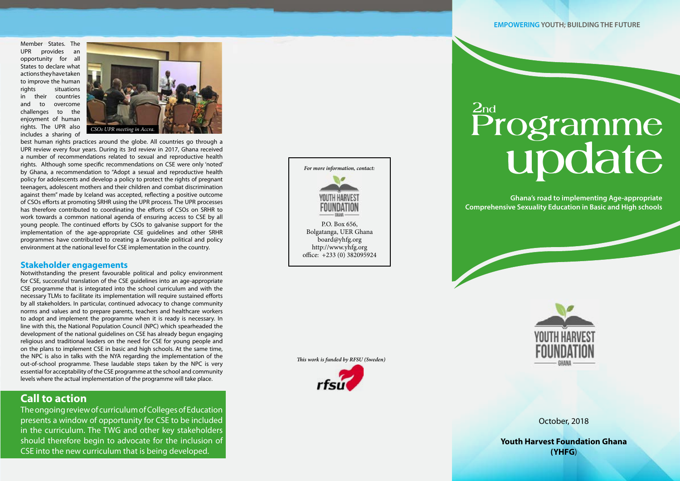Member States. The UPR provides an opportunity for all States to declare what actions they have taken to improve the human rights situations in their countries and to overcome challenges to the enjoyment of human rights. The UPR also includes a sharing of

best human rights practices around the globe. All countries go through a UPR review every four years. During its 3rd review in 2017, Ghana received a number of recommendations related to sexual and reproductive health rights. Although some specific recommendations on CSE were only 'noted' by Ghana, a recommendation to "Adopt a sexual and reproductive health policy for adolescents and develop a policy to protect the rights of pregnant teenagers, adolescent mothers and their children and combat discrimination against them" made by Iceland was accepted, reflecting a positive outcome of CSOs efforts at promoting SRHR using the UPR process. The UPR processes has therefore contributed to coordinating the efforts of CSOs on SRHR to work towards a common national agenda of ensuring access to CSE by all young people. The continued efforts by CSOs to galvanise support for the implementation of the age-appropriate CSE guidelines and other SRHR programmes have contributed to creating a favourable political and policy environment at the national level for CSE implementation in the country.

#### **Stakeholder engagements**

Notwithstanding the present favourable political and policy environment for CSE, successful translation of the CSE guidelines into an age-appropriate CSE programme that is integrated into the school curriculum and with the necessary TLMs to facilitate its implementation will require sustained efforts by all stakeholders. In particular, continued advocacy to change community norms and values and to prepare parents, teachers and healthcare workers to adopt and implement the programme when it is ready is necessary. In line with this, the National Population Council (NPC) which spearheaded the development of the national guidelines on CSE has already begun engaging religious and traditional leaders on the need for CSE for young people and on the plans to implement CSE in basic and high schools. At the same time, the NPC is also in talks with the NYA regarding the implementation of the out-of-school programme. These laudable steps taken by the NPC is very essential for acceptability of the CSE programme at the school and community levels where the actual implementation of the programme will take place.

### **Call to action**

The ongoing review of curriculum of Colleges of Education presents a window of opportunity for CSE to be included in the curriculum. The TWG and other key stakeholders should therefore begin to advocate for the inclusion of CSE into the new curriculum that is being developed.

October, 2018

**Youth Harvest Foundation Ghana (YHFG** )

## **Programme update**

# **2nd**



**Ghana's road to implementing Age-appropriate Comprehensive Sexuality Education in Basic and High schools**



**EMPOWERING YOUTH; BUILDING THE FUTURE**







Bolgatanga, UER Ghana board@yhfg.org http://www.yhfg.org office: +233 (0) 382095924